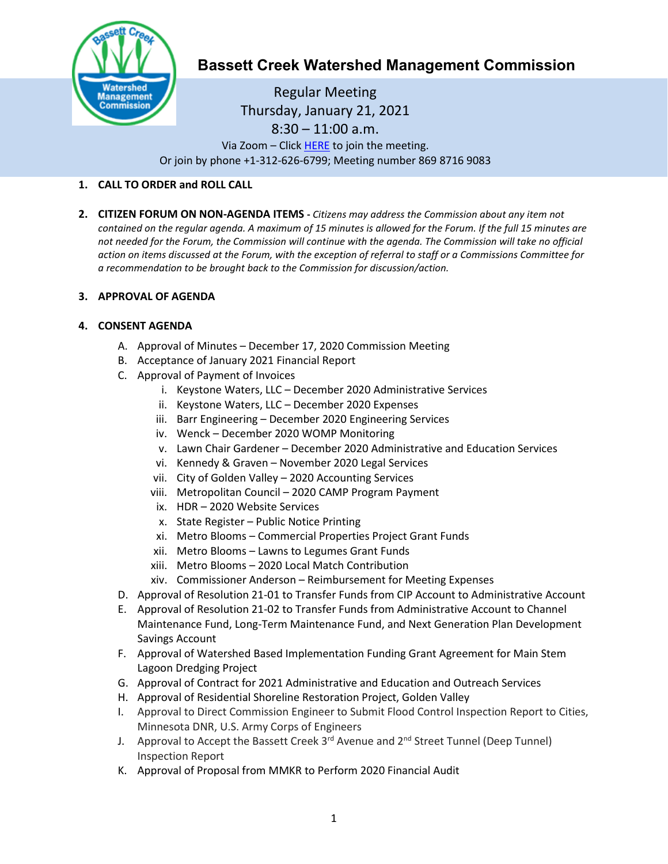

# **Bassett Creek Watershed Management Commission**

Regular Meeting Thursday, January 21, 2021  $8:30 - 11:00$  a.m. Via Zoom – Click [HERE](https://us02web.zoom.us/j/86987169083) to join the meeting. Or join by phone +1-312-626-6799; Meeting number 869 8716 9083

# **1. CALL TO ORDER and ROLL CALL**

**2. CITIZEN FORUM ON NON-AGENDA ITEMS -** *Citizens may address the Commission about any item not contained on the regular agenda. A maximum of 15 minutes is allowed for the Forum. If the full 15 minutes are*  not needed for the Forum, the Commission will continue with the agenda. The Commission will take no official *action on items discussed at the Forum, with the exception of referral to staff or a Commissions Committee for a recommendation to be brought back to the Commission for discussion/action.*

## **3. APPROVAL OF AGENDA**

## **4. CONSENT AGENDA**

- A. Approval of Minutes December 17, 2020 Commission Meeting
- B. Acceptance of January 2021 Financial Report
- C. Approval of Payment of Invoices
	- i. Keystone Waters, LLC December 2020 Administrative Services
	- ii. Keystone Waters, LLC December 2020 Expenses
	- iii. Barr Engineering December 2020 Engineering Services
	- iv. Wenck December 2020 WOMP Monitoring
	- v. Lawn Chair Gardener December 2020 Administrative and Education Services
	- vi. Kennedy & Graven November 2020 Legal Services
	- vii. City of Golden Valley 2020 Accounting Services
	- viii. Metropolitan Council 2020 CAMP Program Payment
	- ix. HDR 2020 Website Services
	- x. State Register Public Notice Printing
	- xi. Metro Blooms Commercial Properties Project Grant Funds
	- xii. Metro Blooms Lawns to Legumes Grant Funds
	- xiii. Metro Blooms 2020 Local Match Contribution
	- xiv. Commissioner Anderson Reimbursement for Meeting Expenses
- D. Approval of Resolution 21-01 to Transfer Funds from CIP Account to Administrative Account
- E. Approval of Resolution 21-02 to Transfer Funds from Administrative Account to Channel Maintenance Fund, Long-Term Maintenance Fund, and Next Generation Plan Development Savings Account
- F. Approval of Watershed Based Implementation Funding Grant Agreement for Main Stem Lagoon Dredging Project
- G. Approval of Contract for 2021 Administrative and Education and Outreach Services
- H. Approval of Residential Shoreline Restoration Project, Golden Valley
- I. Approval to Direct Commission Engineer to Submit Flood Control Inspection Report to Cities, Minnesota DNR, U.S. Army Corps of Engineers
- J. Approval to Accept the Bassett Creek 3<sup>rd</sup> Avenue and 2<sup>nd</sup> Street Tunnel (Deep Tunnel) Inspection Report
- K. Approval of Proposal from MMKR to Perform 2020 Financial Audit